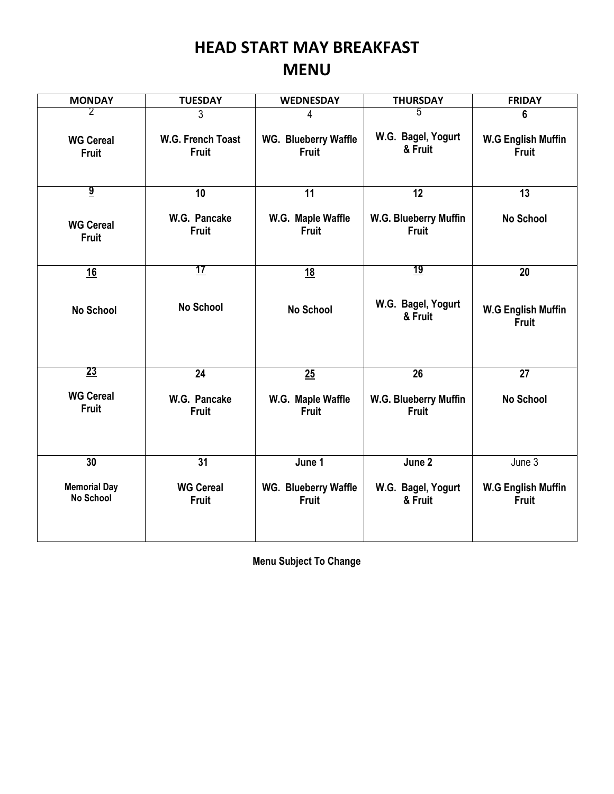## **HEAD START MAY BREAKFAST MENU**

| <b>MONDAY</b>                           | <b>TUESDAY</b>                    | <b>WEDNESDAY</b>                     | <b>THURSDAY</b>                       | <b>FRIDAY</b>                             |
|-----------------------------------------|-----------------------------------|--------------------------------------|---------------------------------------|-------------------------------------------|
| 2                                       | 3                                 | 4                                    | 5                                     | 6                                         |
| <b>WG Cereal</b><br><b>Fruit</b>        | W.G. French Toast<br><b>Fruit</b> | WG. Blueberry Waffle<br>Fruit        | W.G. Bagel, Yogurt<br>& Fruit         | <b>W.G English Muffin</b><br><b>Fruit</b> |
| $\overline{\mathbf{g}}$                 | 10                                | 11                                   | $\overline{12}$                       | 13                                        |
| <b>WG Cereal</b><br><b>Fruit</b>        | W.G. Pancake<br><b>Fruit</b>      | W.G. Maple Waffle<br><b>Fruit</b>    | W.G. Blueberry Muffin<br>Fruit        | <b>No School</b>                          |
| 16                                      | <u> 17</u>                        | <u>18</u>                            | <u> 19</u>                            | 20                                        |
| <b>No School</b>                        | <b>No School</b>                  | <b>No School</b>                     | W.G. Bagel, Yogurt<br>& Fruit         | <b>W.G English Muffin</b><br><b>Fruit</b> |
| 23                                      | 24                                | 25                                   | 26                                    | 27                                        |
| <b>WG Cereal</b><br><b>Fruit</b>        | W.G. Pancake<br><b>Fruit</b>      | W.G. Maple Waffle<br><b>Fruit</b>    | W.G. Blueberry Muffin<br><b>Fruit</b> | <b>No School</b>                          |
| 30                                      | 31                                | June 1                               | June 2                                | June 3                                    |
| <b>Memorial Day</b><br><b>No School</b> | <b>WG Cereal</b><br>Fruit         | WG. Blueberry Waffle<br><b>Fruit</b> | W.G. Bagel, Yogurt<br>& Fruit         | <b>W.G English Muffin</b><br><b>Fruit</b> |

**Menu Subject To Change**